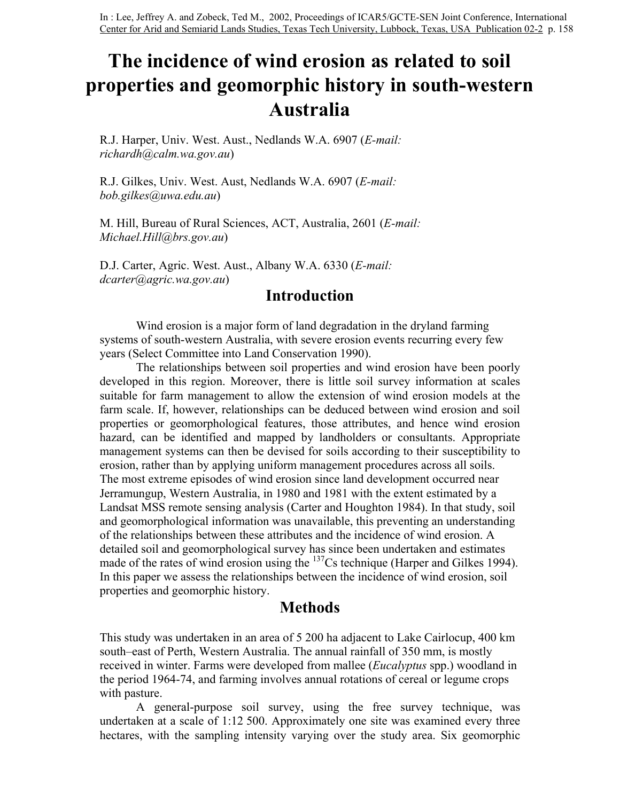# **The incidence of wind erosion as related to soil properties and geomorphic history in south-western Australia**

R.J. Harper, Univ. West. Aust., Nedlands W.A. 6907 (*E-mail: richardh@calm.wa.gov.au*)

R.J. Gilkes, Univ. West. Aust, Nedlands W.A. 6907 (*E-mail: bob.gilkes@uwa.edu.au*)

M. Hill, Bureau of Rural Sciences, ACT, Australia, 2601 (*E-mail: Michael.Hill@brs.gov.au*)

D.J. Carter, Agric. West. Aust., Albany W.A. 6330 (*E-mail: dcarter@agric.wa.gov.au*)

### **Introduction**

Wind erosion is a major form of land degradation in the dryland farming systems of south-western Australia, with severe erosion events recurring every few years (Select Committee into Land Conservation 1990).

The relationships between soil properties and wind erosion have been poorly developed in this region. Moreover, there is little soil survey information at scales suitable for farm management to allow the extension of wind erosion models at the farm scale. If, however, relationships can be deduced between wind erosion and soil properties or geomorphological features, those attributes, and hence wind erosion hazard, can be identified and mapped by landholders or consultants. Appropriate management systems can then be devised for soils according to their susceptibility to erosion, rather than by applying uniform management procedures across all soils. The most extreme episodes of wind erosion since land development occurred near Jerramungup, Western Australia, in 1980 and 1981 with the extent estimated by a Landsat MSS remote sensing analysis (Carter and Houghton 1984). In that study, soil and geomorphological information was unavailable, this preventing an understanding of the relationships between these attributes and the incidence of wind erosion. A detailed soil and geomorphological survey has since been undertaken and estimates made of the rates of wind erosion using the <sup>137</sup>Cs technique (Harper and Gilkes 1994). In this paper we assess the relationships between the incidence of wind erosion, soil properties and geomorphic history.

#### **Methods**

This study was undertaken in an area of 5 200 ha adjacent to Lake Cairlocup, 400 km south–east of Perth, Western Australia. The annual rainfall of 350 mm, is mostly received in winter. Farms were developed from mallee (*Eucalyptus* spp.) woodland in the period 1964-74, and farming involves annual rotations of cereal or legume crops with pasture.

A general-purpose soil survey, using the free survey technique, was undertaken at a scale of 1:12 500. Approximately one site was examined every three hectares, with the sampling intensity varying over the study area. Six geomorphic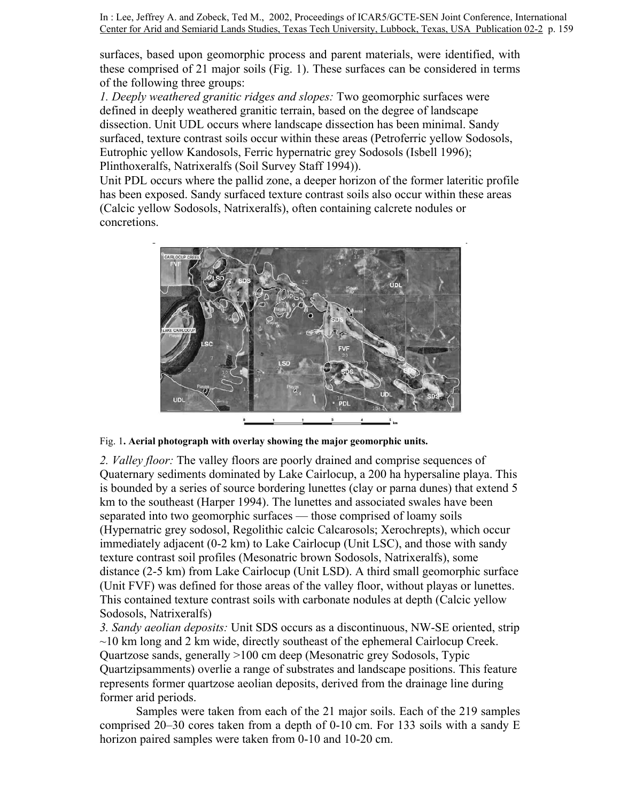surfaces, based upon geomorphic process and parent materials, were identified, with these comprised of 21 major soils (Fig. 1). These surfaces can be considered in terms of the following three groups:

*1. Deeply weathered granitic ridges and slopes:* Two geomorphic surfaces were defined in deeply weathered granitic terrain, based on the degree of landscape dissection. Unit UDL occurs where landscape dissection has been minimal. Sandy surfaced, texture contrast soils occur within these areas (Petroferric yellow Sodosols, Eutrophic yellow Kandosols, Ferric hypernatric grey Sodosols (Isbell 1996); Plinthoxeralfs, Natrixeralfs (Soil Survey Staff 1994)).

Unit PDL occurs where the pallid zone, a deeper horizon of the former lateritic profile has been exposed. Sandy surfaced texture contrast soils also occur within these areas (Calcic yellow Sodosols, Natrixeralfs), often containing calcrete nodules or concretions.



Fig. 1**. Aerial photograph with overlay showing the major geomorphic units.** 

*2. Valley floor:* The valley floors are poorly drained and comprise sequences of Quaternary sediments dominated by Lake Cairlocup, a 200 ha hypersaline playa. This is bounded by a series of source bordering lunettes (clay or parna dunes) that extend 5 km to the southeast (Harper 1994). The lunettes and associated swales have been separated into two geomorphic surfaces — those comprised of loamy soils (Hypernatric grey sodosol, Regolithic calcic Calcarosols; Xerochrepts), which occur immediately adjacent (0-2 km) to Lake Cairlocup (Unit LSC), and those with sandy texture contrast soil profiles (Mesonatric brown Sodosols, Natrixeralfs), some distance (2-5 km) from Lake Cairlocup (Unit LSD). A third small geomorphic surface (Unit FVF) was defined for those areas of the valley floor, without playas or lunettes. This contained texture contrast soils with carbonate nodules at depth (Calcic yellow Sodosols, Natrixeralfs)

*3. Sandy aeolian deposits:* Unit SDS occurs as a discontinuous, NW-SE oriented, strip  $\sim$ 10 km long and 2 km wide, directly southeast of the ephemeral Cairlocup Creek. Quartzose sands, generally >100 cm deep (Mesonatric grey Sodosols, Typic Quartzipsamments) overlie a range of substrates and landscape positions. This feature represents former quartzose aeolian deposits, derived from the drainage line during former arid periods.

Samples were taken from each of the 21 major soils. Each of the 219 samples comprised 20–30 cores taken from a depth of 0-10 cm. For 133 soils with a sandy E horizon paired samples were taken from 0-10 and 10-20 cm.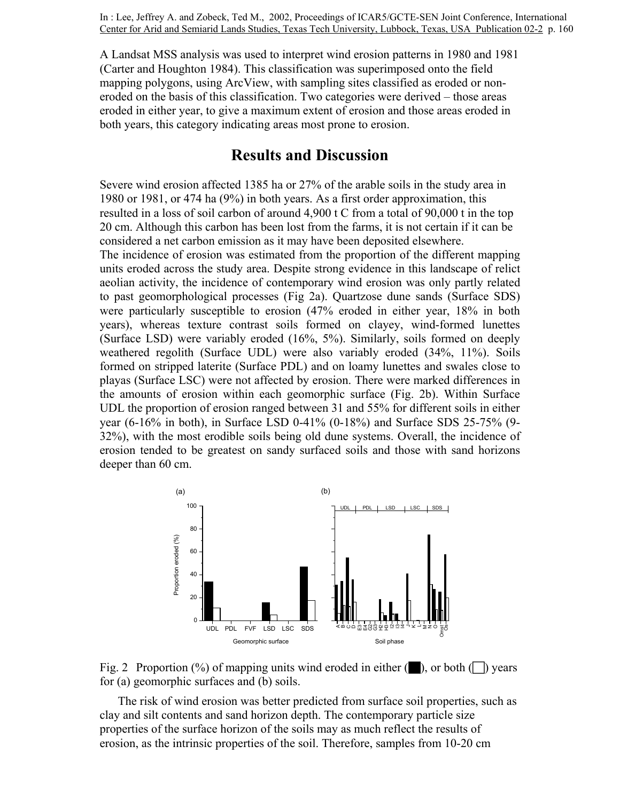A Landsat MSS analysis was used to interpret wind erosion patterns in 1980 and 1981 (Carter and Houghton 1984). This classification was superimposed onto the field mapping polygons, using ArcView, with sampling sites classified as eroded or noneroded on the basis of this classification. Two categories were derived – those areas eroded in either year, to give a maximum extent of erosion and those areas eroded in both years, this category indicating areas most prone to erosion.

## **Results and Discussion**

Severe wind erosion affected 1385 ha or 27% of the arable soils in the study area in 1980 or 1981, or 474 ha (9%) in both years. As a first order approximation, this resulted in a loss of soil carbon of around 4,900 t C from a total of 90,000 t in the top 20 cm. Although this carbon has been lost from the farms, it is not certain if it can be considered a net carbon emission as it may have been deposited elsewhere.

The incidence of erosion was estimated from the proportion of the different mapping units eroded across the study area. Despite strong evidence in this landscape of relict aeolian activity, the incidence of contemporary wind erosion was only partly related to past geomorphological processes (Fig 2a). Quartzose dune sands (Surface SDS) were particularly susceptible to erosion (47% eroded in either year, 18% in both years), whereas texture contrast soils formed on clayey, wind-formed lunettes (Surface LSD) were variably eroded (16%, 5%). Similarly, soils formed on deeply weathered regolith (Surface UDL) were also variably eroded (34%, 11%). Soils formed on stripped laterite (Surface PDL) and on loamy lunettes and swales close to playas (Surface LSC) were not affected by erosion. There were marked differences in the amounts of erosion within each geomorphic surface (Fig. 2b). Within Surface UDL the proportion of erosion ranged between 31 and 55% for different soils in either year (6-16% in both), in Surface LSD 0-41% (0-18%) and Surface SDS 25-75% (9- 32%), with the most erodible soils being old dune systems. Overall, the incidence of erosion tended to be greatest on sandy surfaced soils and those with sand horizons deeper than 60 cm.





The risk of wind erosion was better predicted from surface soil properties, such as clay and silt contents and sand horizon depth. The contemporary particle size properties of the surface horizon of the soils may as much reflect the results of erosion, as the intrinsic properties of the soil. Therefore, samples from 10-20 cm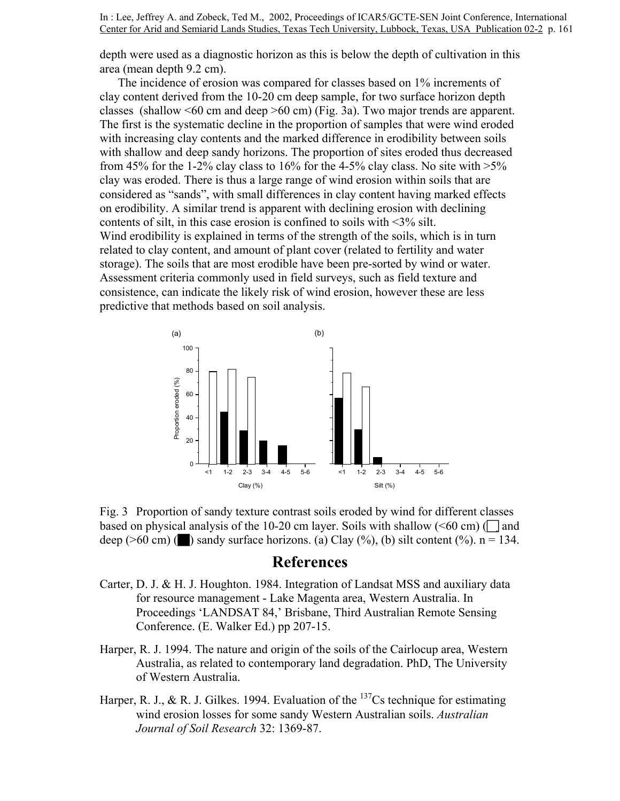depth were used as a diagnostic horizon as this is below the depth of cultivation in this area (mean depth 9.2 cm).

The incidence of erosion was compared for classes based on 1% increments of clay content derived from the 10-20 cm deep sample, for two surface horizon depth classes (shallow <60 cm and deep >60 cm) (Fig. 3a). Two major trends are apparent. The first is the systematic decline in the proportion of samples that were wind eroded with increasing clay contents and the marked difference in erodibility between soils with shallow and deep sandy horizons. The proportion of sites eroded thus decreased from 45% for the 1-2% clay class to 16% for the 4-5% clay class. No site with  $>5\%$ clay was eroded. There is thus a large range of wind erosion within soils that are considered as "sands", with small differences in clay content having marked effects on erodibility. A similar trend is apparent with declining erosion with declining contents of silt, in this case erosion is confined to soils with <3% silt. Wind erodibility is explained in terms of the strength of the soils, which is in turn related to clay content, and amount of plant cover (related to fertility and water storage). The soils that are most erodible have been pre-sorted by wind or water. Assessment criteria commonly used in field surveys, such as field texture and consistence, can indicate the likely risk of wind erosion, however these are less predictive that methods based on soil analysis.



Fig. 3 Proportion of sandy texture contrast soils eroded by wind for different classes based on physical analysis of the 10-20 cm layer. Soils with shallow ( $\leq 60$  cm) ( $\Box$  and deep ( $>60$  cm) ( $\blacksquare$ ) sandy surface horizons. (a) Clay (%), (b) silt content (%). n = 134.

#### **References**

- Carter, D. J. & H. J. Houghton. 1984. Integration of Landsat MSS and auxiliary data for resource management - Lake Magenta area, Western Australia. In Proceedings 'LANDSAT 84,' Brisbane, Third Australian Remote Sensing Conference. (E. Walker Ed.) pp 207-15.
- Harper, R. J. 1994. The nature and origin of the soils of the Cairlocup area, Western Australia, as related to contemporary land degradation. PhD, The University of Western Australia.
- Harper, R. J., & R. J. Gilkes. 1994. Evaluation of the  $137$ Cs technique for estimating wind erosion losses for some sandy Western Australian soils. *Australian Journal of Soil Research* 32: 1369-87.